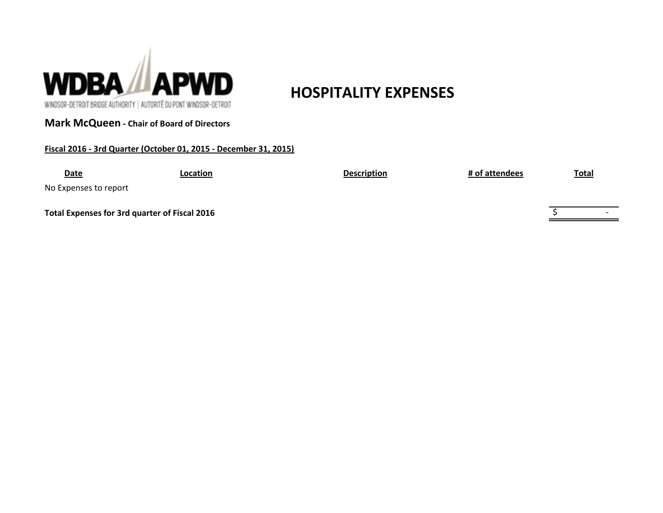

# **HOSPITALITY EXPENSES**

WINDSOR-DETROIT BRIDGE AUTHORITY | AUTORITÉ DU PONT WINDSOR-DETROIT

## **Mark McQueen - Chair of Board of Directors**

## **Fiscal 2016 - 3rd Quarter (October 01, 2015 - December 31, 2015)**

| <b>Date</b>           | Location                                      | <b>Description</b> | # of attendees | <b>Total</b> |  |
|-----------------------|-----------------------------------------------|--------------------|----------------|--------------|--|
| No Expenses to report |                                               |                    |                |              |  |
|                       | Total Expenses for 3rd quarter of Fiscal 2016 |                    |                |              |  |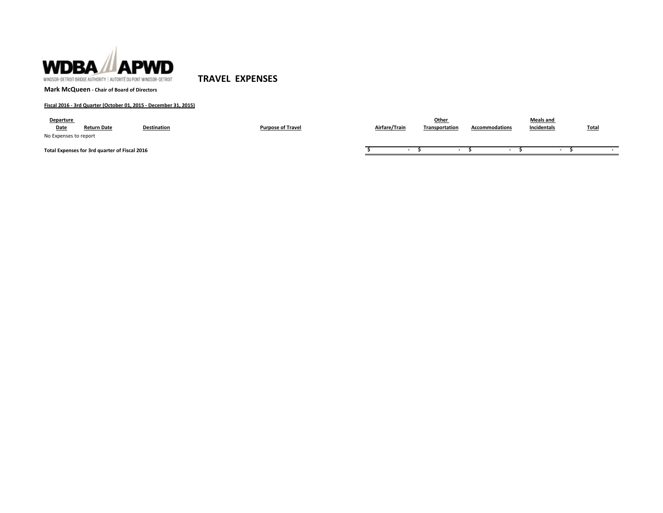

**TRAVEL EXPENSES**

**Mark McQueen - Chair of Board of Directors**

### **Fiscal 2016 - 3rd Quarter (October 01, 2015 - December 31, 2015)**

| <b>Departure</b><br>Date | <b>Return Date</b>                            | <b>Destination</b> | <b>Purpose of Travel</b> | Airfare/Train | Other<br>Transportation | <b>Accommodations</b>    | <b>Meals and</b><br>Incidentals | <b>Tota</b> |
|--------------------------|-----------------------------------------------|--------------------|--------------------------|---------------|-------------------------|--------------------------|---------------------------------|-------------|
| No Expenses to report    |                                               |                    |                          |               |                         |                          |                                 |             |
|                          | Total Expenses for 3rd quarter of Fiscal 2016 |                    |                          |               |                         | $\overline{\phantom{a}}$ | $\overline{\phantom{a}}$        |             |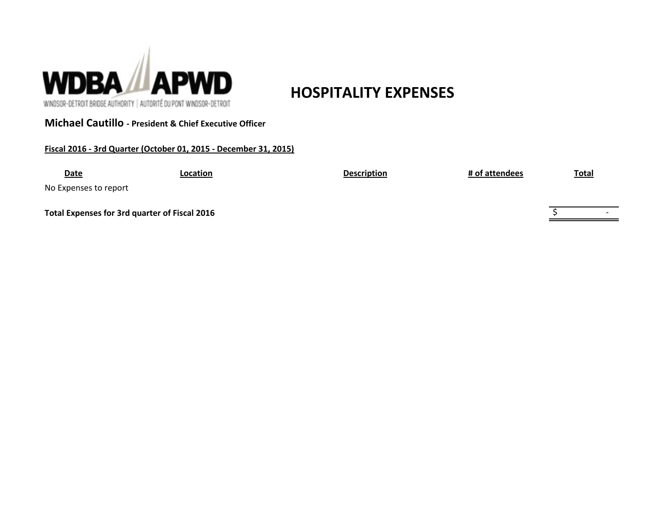

**Michael Cautillo - President & Chief Executive Officer**

**Fiscal 2016 - 3rd Quarter (October 01, 2015 - December 31, 2015)**

**HOSPITALITY EXPENSES**

**Date Location Description # of attendees Total**

No Expenses to report

**Total Expenses for 3rd quarter of Fiscal 2016**  $\frac{1}{5}$